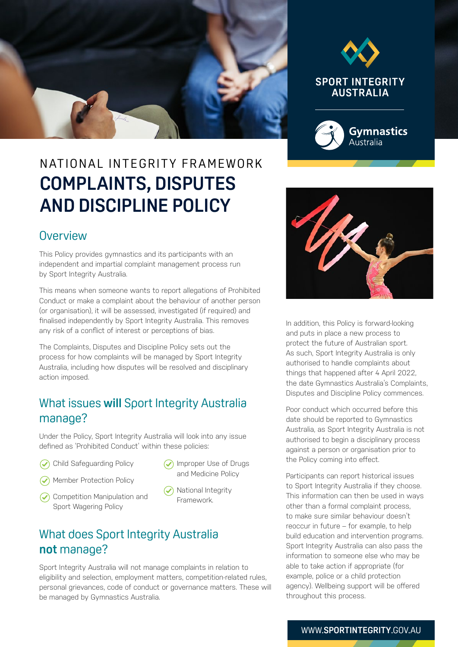



# N AT IONAL INTEGRITY FRAMEWORK **COMPLAINTS, DISPUTES AND DISCIPLINE POLICY**

#### **Overview**

This Policy provides gymnastics and its participants with an independent and impartial complaint management process run by Sport Integrity Australia.

This means when someone wants to report allegations of Prohibited Conduct or make a complaint about the behaviour of another person (or organisation), it will be assessed, investigated (if required) and finalised independently by Sport Integrity Australia. This removes any risk of a conflict of interest or perceptions of bias.

The Complaints, Disputes and Discipline Policy sets out the process for how complaints will be managed by Sport Integrity Australia, including how disputes will be resolved and disciplinary action imposed.

#### What issues **will** Sport Integrity Australia manage?

Under the Policy, Sport Integrity Australia will look into any issue defined as 'Prohibited Conduct' within these policies:

- Child Safeguarding Policy
- Member Protection Policy
- Competition Manipulation and Sport Wagering Policy
- ◯ Improper Use of Drugs and Medicine Policy
- $\odot$  National Integrity Framework.

## What does Sport Integrity Australia **not** manage?

Sport Integrity Australia will not manage complaints in relation to eligibility and selection, employment matters, competition-related rules, personal grievances, code of conduct or governance matters. These will be managed by Gymnastics Australia.



In addition, this Policy is forward-looking and puts in place a new process to protect the future of Australian sport. As such, Sport Integrity Australia is only authorised to handle complaints about things that happened after 4 April 2022, the date Gymnastics Australia's Complaints, Disputes and Discipline Policy commences.

Poor conduct which occurred before this date should be reported to Gymnastics Australia, as Sport Integrity Australia is not authorised to begin a disciplinary process against a person or organisation prior to the Policy coming into effect.

Participants can report historical issues to Sport Integrity Australia if they choose. This information can then be used in ways other than a formal complaint process, to make sure similar behaviour doesn't reoccur in future – for example, to help build education and intervention programs. Sport Integrity Australia can also pass the information to someone else who may be able to take action if appropriate (for example, police or a child protection agency). Wellbeing support will be offered throughout this process.